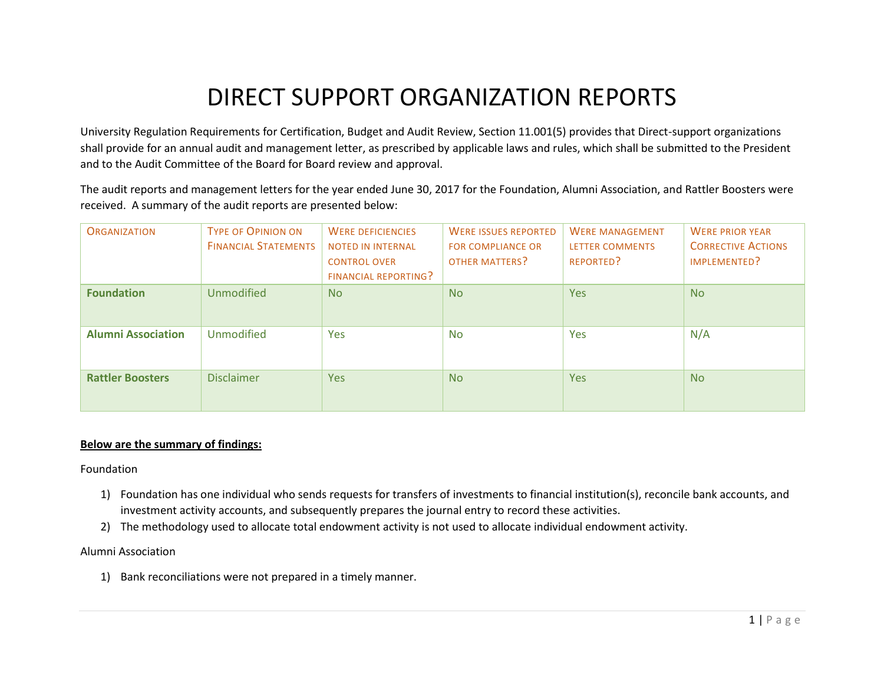## DIRECT SUPPORT ORGANIZATION REPORTS

University Regulation Requirements for Certification, Budget and Audit Review, Section 11.001(5) provides that Direct-support organizations shall provide for an annual audit and management letter, as prescribed by applicable laws and rules, which shall be submitted to the President and to the Audit Committee of the Board for Board review and approval.

The audit reports and management letters for the year ended June 30, 2017 for the Foundation, Alumni Association, and Rattler Boosters were received. A summary of the audit reports are presented below:

| <b>ORGANIZATION</b>       | <b>TYPE OF OPINION ON</b><br><b>FINANCIAL STATEMENTS</b> | <b>WERE DEFICIENCIES</b><br><b>NOTED IN INTERNAL</b><br><b>CONTROL OVER</b><br><b>FINANCIAL REPORTING?</b> | <b>WERE ISSUES REPORTED</b><br><b>FOR COMPLIANCE OR</b><br><b>OTHER MATTERS?</b> | <b>WERE MANAGEMENT</b><br><b>LETTER COMMENTS</b><br><b>REPORTED?</b> | <b>WERE PRIOR YEAR</b><br><b>CORRECTIVE ACTIONS</b><br>IMPLEMENTED? |
|---------------------------|----------------------------------------------------------|------------------------------------------------------------------------------------------------------------|----------------------------------------------------------------------------------|----------------------------------------------------------------------|---------------------------------------------------------------------|
| <b>Foundation</b>         | <b>Unmodified</b>                                        | <b>No</b>                                                                                                  | N <sub>o</sub>                                                                   | Yes                                                                  | <b>No</b>                                                           |
| <b>Alumni Association</b> | <b>Unmodified</b>                                        | Yes                                                                                                        | <b>No</b>                                                                        | <b>Yes</b>                                                           | N/A                                                                 |
| <b>Rattler Boosters</b>   | <b>Disclaimer</b>                                        | Yes                                                                                                        | N <sub>o</sub>                                                                   | <b>Yes</b>                                                           | <b>No</b>                                                           |

## **Below are the summary of findings:**

Foundation

- 1) Foundation has one individual who sends requests for transfers of investments to financial institution(s), reconcile bank accounts, and investment activity accounts, and subsequently prepares the journal entry to record these activities.
- 2) The methodology used to allocate total endowment activity is not used to allocate individual endowment activity.

## Alumni Association

1) Bank reconciliations were not prepared in a timely manner.